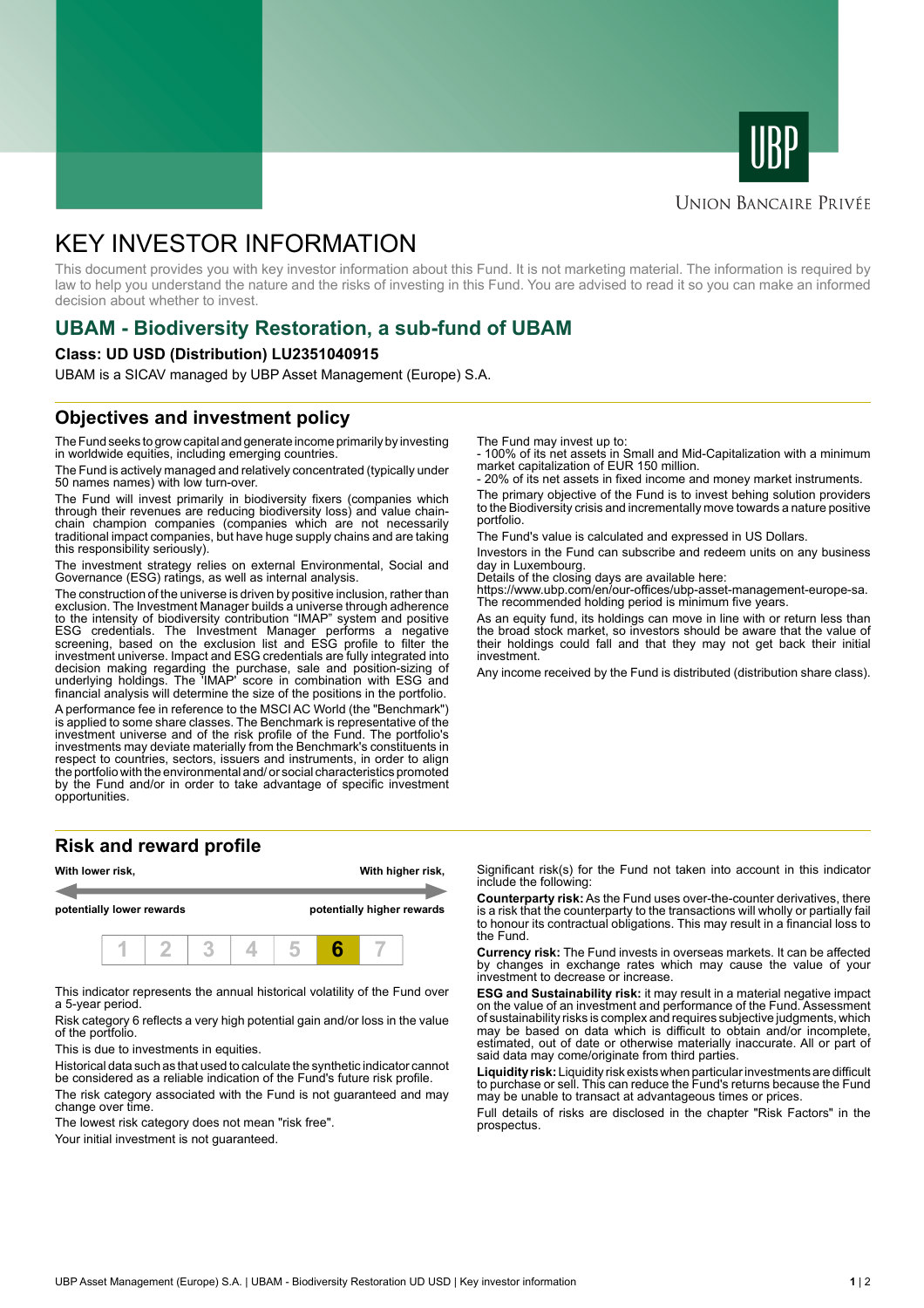



#### **UNION BANCAIRE PRIVÉE**

# KEY INVESTOR INFORMATION

This document provides you with key investor information about this Fund. It is not marketing material. The information is required by law to help you understand the nature and the risks of investing in this Fund. You are advised to read it so you can make an informed decision about whether to invest.

### **UBAM - Biodiversity Restoration, a sub-fund of UBAM**

#### **Class: UD USD (Distribution) LU2351040915**

UBAM is a SICAV managed by UBP Asset Management (Europe) S.A.

### **Objectives and investment policy**

The Fund seeks to grow capital and generate income primarily by investing in worldwide equities, including emerging countries.

The Fund is actively managed and relatively concentrated (typically under 50 names names) with low turn-over.

The Fund will invest primarily in biodiversity fixers (companies which through their revenues are reducing biodiversity loss) and value chainchain champion companies (companies which are not necessarily traditional impact companies, but have huge supply chains and are taking this responsibility seriously).

The investment strategy relies on external Environmental, Social and Governance (ESG) ratings, as well as internal analysis.

The construction of the universe is driven by positive inclusion, rather than exclusion. The Investment Manager builds a universe through adherence to the intensity of biodiversity contribution "IMAP" system and positive ESG credentials. The Investment Manager performs a negative screening, based on the exclusion list and ESG profile to filter the investment universe. Impact and ESG credentials are fully integrated into decision making regarding the purchase, sale and position-sizing of underlying holdings. The 'IMAP' score in combination with ESG and financial analysis will determine the size of the positions in the portfolio.

A performance fee in reference to the MSCI AC World (the "Benchmark") is applied to some share classes. The Benchmark is representative of the investment universe and of the risk profile of the Fund. The portfolio's investments may deviate materially from the Benchmark's constituents in respect to countries, sectors, issuers and instruments, in order to align the portfolio with the environmental and/ or social characteristics promoted by the Fund and/or in order to take advantage of specific investment opportunities.

#### **Risk and reward profile**



This indicator represents the annual historical volatility of the Fund over a 5-year period.

Risk category 6 reflects a very high potential gain and/or loss in the value of the portfolio.

This is due to investments in equities.

Historical data such as that used to calculate the synthetic indicator cannot be considered as a reliable indication of the Fund's future risk profile.

The risk category associated with the Fund is not guaranteed and may change over time.

The lowest risk category does not mean "risk free".

Your initial investment is not guaranteed.

The Fund may invest up to:

- 100% of its net assets in Small and Mid-Capitalization with a minimum market capitalization of EUR 150 million.

20% of its net assets in fixed income and money market instruments.

The primary objective of the Fund is to invest behing solution providers to the Biodiversity crisis and incrementally move towards a nature positive portfolio.

The Fund's value is calculated and expressed in US Dollars.

Investors in the Fund can subscribe and redeem units on any business day in Luxembourg.

Details of the closing days are available here:

https://www.ubp.com/en/our-offices/ubp-asset-management-europe-sa. The recommended holding period is minimum five years.

As an equity fund, its holdings can move in line with or return less than the broad stock market, so investors should be aware that the value of their holdings could fall and that they may not get back their initial investment.

Any income received by the Fund is distributed (distribution share class).

Significant risk(s) for the Fund not taken into account in this indicator include the following:

**Counterparty risk:** As the Fund uses over-the-counter derivatives, there is a risk that the counterparty to the transactions will wholly or partially fail to honour its contractual obligations. This may result in a financial loss to the Fund.

**Currency risk:** The Fund invests in overseas markets. It can be affected by changes in exchange rates which may cause the value of your investment to decrease or increase.

**ESG and Sustainability risk:** it may result in a material negative impact on the value of an investment and performance of the Fund. Assessment of sustainability risks is complex and requires subjective judgments, which may be based on data which is difficult to obtain and/or incomplete, estimated, out of date or otherwise materially inaccurate. All or part of said data may come/originate from third parties.

**Liquidity risk:** Liquidity risk exists when particular investments are difficult to purchase or sell. This can reduce the Fund's returns because the Fund may be unable to transact at advantageous times or prices.

Full details of risks are disclosed in the chapter "Risk Factors" in the prospectus.